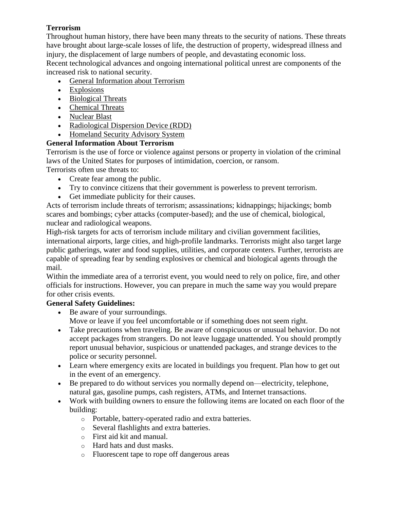# **Terrorism**

Throughout human history, there have been many threats to the security of nations. These threats have brought about large-scale losses of life, the destruction of property, widespread illness and injury, the displacement of large numbers of people, and devastating economic loss.

Recent technological advances and ongoing international political unrest are components of the increased risk to national security.

- General Information about Terrorism
- Explosions
- Biological Threats
- Chemical Threats
- Nuclear Blast
- Radiological Dispersion Device (RDD)
- Homeland Security Advisory System

### **General Information About Terrorism**

Terrorism is the use of force or violence against persons or property in violation of the criminal laws of the United States for purposes of intimidation, coercion, or ransom.

Terrorists often use threats to:

- Create fear among the public.
- Try to convince citizens that their government is powerless to prevent terrorism.
- Get immediate publicity for their causes.

Acts of terrorism include threats of terrorism; assassinations; kidnappings; hijackings; bomb scares and bombings; cyber attacks (computer-based); and the use of chemical, biological, nuclear and radiological weapons.

High-risk targets for acts of terrorism include military and civilian government facilities, international airports, large cities, and high-profile landmarks. Terrorists might also target large public gatherings, water and food supplies, utilities, and corporate centers. Further, terrorists are capable of spreading fear by sending explosives or chemical and biological agents through the mail.

Within the immediate area of a terrorist event, you would need to rely on police, fire, and other officials for instructions. However, you can prepare in much the same way you would prepare for other crisis events.

# **General Safety Guidelines:**

- Be aware of your surroundings. Move or leave if you feel uncomfortable or if something does not seem right.
- Take precautions when traveling. Be aware of conspicuous or unusual behavior. Do not accept packages from strangers. Do not leave luggage unattended. You should promptly report unusual behavior, suspicious or unattended packages, and strange devices to the police or security personnel.
- Learn where emergency exits are located in buildings you frequent. Plan how to get out in the event of an emergency.
- Be prepared to do without services you normally depend on—electricity, telephone, natural gas, gasoline pumps, cash registers, ATMs, and Internet transactions.
- Work with building owners to ensure the following items are located on each floor of the building:
	- o Portable, battery-operated radio and extra batteries.
	- o Several flashlights and extra batteries.
	- o First aid kit and manual.
	- o Hard hats and dust masks.
	- o Fluorescent tape to rope off dangerous areas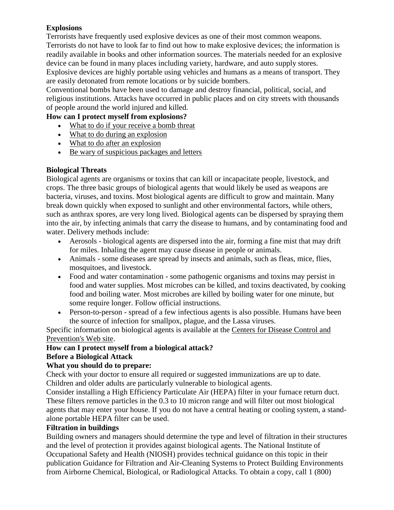## **Explosions**

Terrorists have frequently used explosive devices as one of their most common weapons. Terrorists do not have to look far to find out how to make explosive devices; the information is readily available in books and other information sources. The materials needed for an explosive device can be found in many places including variety, hardware, and auto supply stores. Explosive devices are highly portable using vehicles and humans as a means of transport. They are easily detonated from remote locations or by suicide bombers.

Conventional bombs have been used to damage and destroy financial, political, social, and religious institutions. Attacks have occurred in public places and on city streets with thousands of people around the world injured and killed.

## **How can I protect myself from explosions?**

- [What to do if your receive a bomb threat](http://www.fema.gov/hazard/terrorism/exp/exp_threat.shtm)
- [What to do during an explosion](http://www.fema.gov/hazard/terrorism/exp/exp_during.shtm)
- [What to do after an explosion](http://www.fema.gov/rebuild/recover/after.shtm)
- [Be wary of suspicious packages and letters](http://www.fema.gov/hazard/terrorism/exp/exp_parcels.shtm)

### **Biological Threats**

Biological agents are organisms or toxins that can kill or incapacitate people, livestock, and crops. The three basic groups of biological agents that would likely be used as weapons are bacteria, viruses, and toxins. Most biological agents are difficult to grow and maintain. Many break down quickly when exposed to sunlight and other environmental factors, while others, such as anthrax spores, are very long lived. Biological agents can be dispersed by spraying them into the air, by infecting animals that carry the disease to humans, and by contaminating food and water. Delivery methods include:

- Aerosols biological agents are dispersed into the air, forming a fine mist that may drift for miles. Inhaling the agent may cause disease in people or animals.
- Animals some diseases are spread by insects and animals, such as fleas, mice, flies, mosquitoes, and livestock.
- Food and water contamination some pathogenic organisms and toxins may persist in food and water supplies. Most microbes can be killed, and toxins deactivated, by cooking food and boiling water. Most microbes are killed by boiling water for one minute, but some require longer. Follow official instructions.
- Person-to-person spread of a few infectious agents is also possible. Humans have been the source of infection for smallpox, plague, and the Lassa viruses.

Specific information on biological agents is available at the [Centers for Disease Control and](http://www.bt.cdc.gov/)  [Prevention's Web site.](http://www.bt.cdc.gov/)

# **How can I protect myself from a biological attack?**

#### **Before a Biological Attack**

#### **What you should do to prepare:**

Check with your doctor to ensure all required or suggested immunizations are up to date. Children and older adults are particularly vulnerable to biological agents.

Consider installing a High Efficiency Particulate Air (HEPA) filter in your furnace return duct. These filters remove particles in the 0.3 to 10 micron range and will filter out most biological agents that may enter your house. If you do not have a central heating or cooling system, a standalone portable HEPA filter can be used.

#### **Filtration in buildings**

Building owners and managers should determine the type and level of filtration in their structures and the level of protection it provides against biological agents. The National Institute of Occupational Safety and Health (NIOSH) provides technical guidance on this topic in their publication Guidance for Filtration and Air-Cleaning Systems to Protect Building Environments from Airborne Chemical, Biological, or Radiological Attacks. To obtain a copy, call 1 (800)